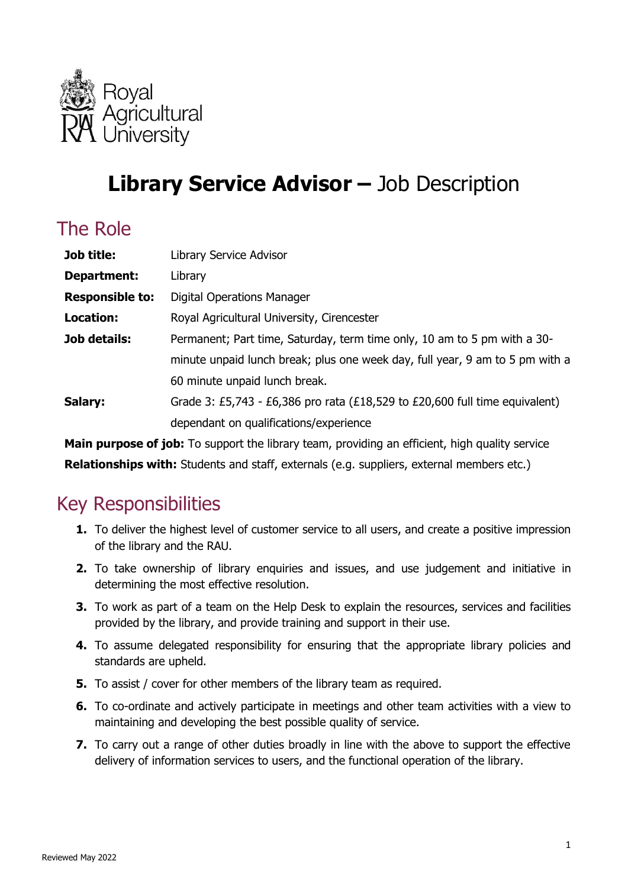

# **Library Service Advisor –** Job Description

## The Role

| Job title:             | Library Service Advisor                                                      |
|------------------------|------------------------------------------------------------------------------|
| Department:            | Library                                                                      |
| <b>Responsible to:</b> | <b>Digital Operations Manager</b>                                            |
| <b>Location:</b>       | Royal Agricultural University, Cirencester                                   |
| <b>Job details:</b>    | Permanent; Part time, Saturday, term time only, 10 am to 5 pm with a 30-     |
|                        | minute unpaid lunch break; plus one week day, full year, 9 am to 5 pm with a |
|                        | 60 minute unpaid lunch break.                                                |
| Salary:                | Grade 3: £5,743 - £6,386 pro rata (£18,529 to £20,600 full time equivalent)  |
|                        | dependant on qualifications/experience                                       |
|                        |                                                                              |

**Main purpose of job:** To support the library team, providing an efficient, high quality service

**Relationships with:** Students and staff, externals (e.g. suppliers, external members etc.)

### Key Responsibilities

- **1.** To deliver the highest level of customer service to all users, and create a positive impression of the library and the RAU.
- **2.** To take ownership of library enquiries and issues, and use judgement and initiative in determining the most effective resolution.
- **3.** To work as part of a team on the Help Desk to explain the resources, services and facilities provided by the library, and provide training and support in their use.
- **4.** To assume delegated responsibility for ensuring that the appropriate library policies and standards are upheld.
- **5.** To assist / cover for other members of the library team as required.
- **6.** To co-ordinate and actively participate in meetings and other team activities with a view to maintaining and developing the best possible quality of service.
- **7.** To carry out a range of other duties broadly in line with the above to support the effective delivery of information services to users, and the functional operation of the library.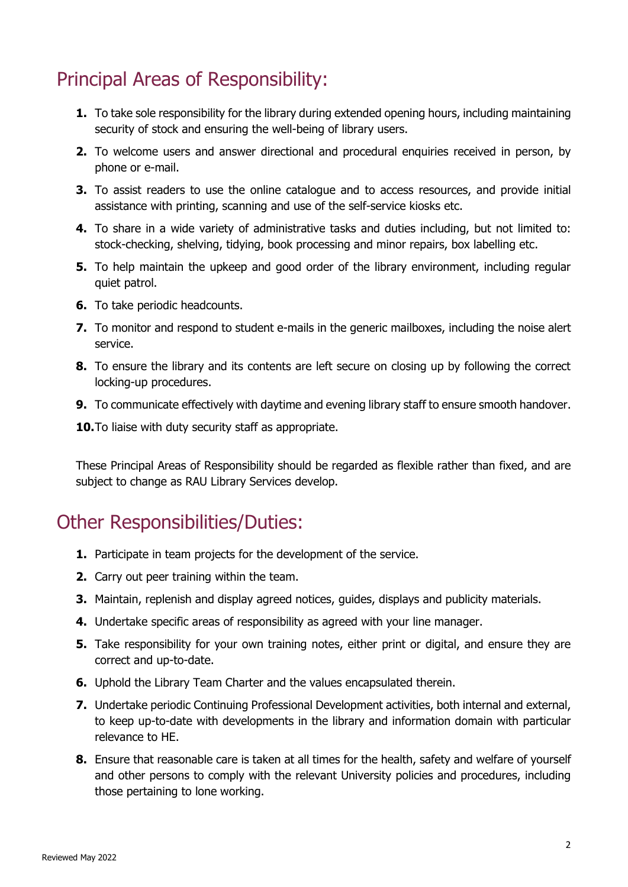# Principal Areas of Responsibility:

- **1.** To take sole responsibility for the library during extended opening hours, including maintaining security of stock and ensuring the well-being of library users.
- **2.** To welcome users and answer directional and procedural enquiries received in person, by phone or e-mail.
- **3.** To assist readers to use the online catalogue and to access resources, and provide initial assistance with printing, scanning and use of the self-service kiosks etc.
- **4.** To share in a wide variety of administrative tasks and duties including, but not limited to: stock-checking, shelving, tidying, book processing and minor repairs, box labelling etc.
- **5.** To help maintain the upkeep and good order of the library environment, including regular quiet patrol.
- **6.** To take periodic headcounts.
- **7.** To monitor and respond to student e-mails in the generic mailboxes, including the noise alert service.
- **8.** To ensure the library and its contents are left secure on closing up by following the correct locking-up procedures.
- **9.** To communicate effectively with daytime and evening library staff to ensure smooth handover.

**10.**To liaise with duty security staff as appropriate.

These Principal Areas of Responsibility should be regarded as flexible rather than fixed, and are subject to change as RAU Library Services develop.

### Other Responsibilities/Duties:

- **1.** Participate in team projects for the development of the service.
- **2.** Carry out peer training within the team.
- **3.** Maintain, replenish and display agreed notices, guides, displays and publicity materials.
- **4.** Undertake specific areas of responsibility as agreed with your line manager.
- **5.** Take responsibility for your own training notes, either print or digital, and ensure they are correct and up-to-date.
- **6.** Uphold the Library Team Charter and the values encapsulated therein.
- **7.** Undertake periodic Continuing Professional Development activities, both internal and external, to keep up-to-date with developments in the library and information domain with particular relevance to HE.
- **8.** Ensure that reasonable care is taken at all times for the health, safety and welfare of yourself and other persons to comply with the relevant University policies and procedures, including those pertaining to lone working.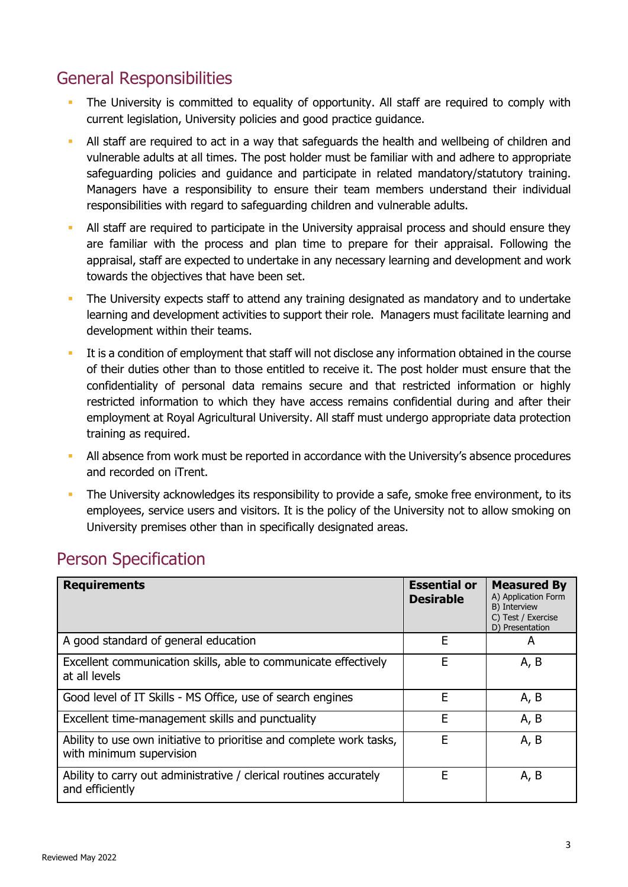#### General Responsibilities

- The University is committed to equality of opportunity. All staff are required to comply with current legislation, University policies and good practice guidance.
- All staff are required to act in a way that safeguards the health and wellbeing of children and vulnerable adults at all times. The post holder must be familiar with and adhere to appropriate safeguarding policies and guidance and participate in related mandatory/statutory training. Managers have a responsibility to ensure their team members understand their individual responsibilities with regard to safeguarding children and vulnerable adults.
- All staff are required to participate in the University appraisal process and should ensure they are familiar with the process and plan time to prepare for their appraisal. Following the appraisal, staff are expected to undertake in any necessary learning and development and work towards the objectives that have been set.
- The University expects staff to attend any training designated as mandatory and to undertake learning and development activities to support their role. Managers must facilitate learning and development within their teams.
- It is a condition of employment that staff will not disclose any information obtained in the course of their duties other than to those entitled to receive it. The post holder must ensure that the confidentiality of personal data remains secure and that restricted information or highly restricted information to which they have access remains confidential during and after their employment at Royal Agricultural University. All staff must undergo appropriate data protection training as required.
- All absence from work must be reported in accordance with the University's absence procedures and recorded on iTrent.
- The University acknowledges its responsibility to provide a safe, smoke free environment, to its employees, service users and visitors. It is the policy of the University not to allow smoking on University premises other than in specifically designated areas.

| <b>Requirements</b>                                                                              | <b>Essential or</b><br><b>Desirable</b> | <b>Measured By</b><br>A) Application Form<br>B) Interview<br>C) Test / Exercise<br>D) Presentation |
|--------------------------------------------------------------------------------------------------|-----------------------------------------|----------------------------------------------------------------------------------------------------|
| A good standard of general education                                                             | E                                       | A                                                                                                  |
| Excellent communication skills, able to communicate effectively<br>at all levels                 | E                                       | A, B                                                                                               |
| Good level of IT Skills - MS Office, use of search engines                                       | E                                       | A, B                                                                                               |
| Excellent time-management skills and punctuality                                                 | Е                                       | A, B                                                                                               |
| Ability to use own initiative to prioritise and complete work tasks,<br>with minimum supervision | E                                       | A, B                                                                                               |
| Ability to carry out administrative / clerical routines accurately<br>and efficiently            | E                                       | A, B                                                                                               |

#### Person Specification